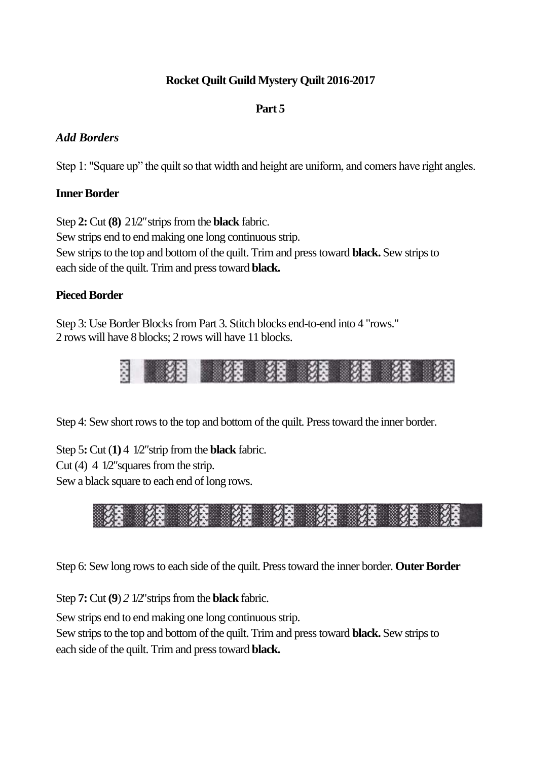# **Rocket Quilt Guild Mystery Quilt 2016-2017**

#### **Part 5**

# *Add Borders*

Step 1: "Square up" the quilt so that width and height are uniform, and comers have right angles.

## **Inner Border**

Step **2:** Cut **(8)** 2 1/2*"*strips from the **black** fabric. Sew strips end to end making one long continuous strip. Sew strips to the top and bottom of the quilt. Trim and press toward **black.** Sew strips to each side of the quilt. Trim and press toward **black.**

## **Pieced Border**

Step 3: Use Border Blocks from Part 3. Stitch blocks end-to-end into 4 "rows." 2 rows will have 8 blocks; 2 rows will have 11 blocks.



Step 4: Sew short rows to the top and bottom of the quilt. Press toward the inner border.

Step 5**:** Cut (**1)** 4 1/2*"*strip from the **black** fabric.

Cut (4) 4 1/2*"*squares from the strip.

Sew a black square to each end of long rows.



Step 6: Sew long rows to each side of the quilt. Press toward the inner border. **Outer Border**

Step **7:** Cut **(9**) *2* 1/2"strips from the **black** fabric.

Sew strips end to end making one long continuous strip.

Sew strips to the top and bottom of the quilt. Trim and press toward **black.** Sew strips to each side of the quilt. Trim and press toward **black.**